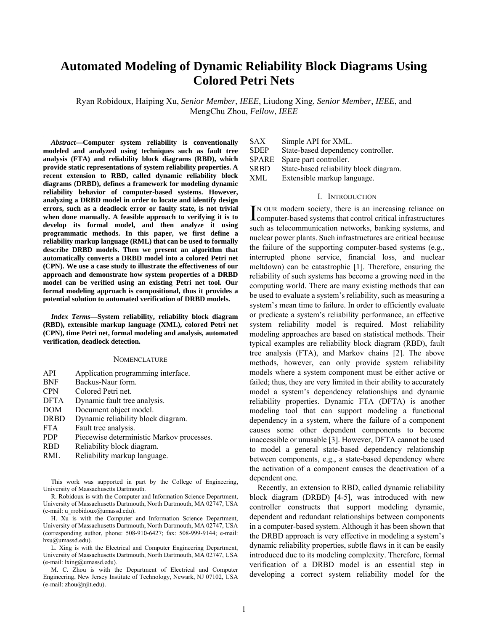# **Automated Modeling of Dynamic Reliability Block Diagrams Using Colored Petri Nets**

Ryan Robidoux, Haiping Xu, *Senior Member*, *IEEE*, Liudong Xing, *Senior Member*, *IEEE*, and MengChu Zhou, *Fellow*, *IEEE*

*Abstract***—Computer system reliability is conventionally modeled and analyzed using techniques such as fault tree analysis (FTA) and reliability block diagrams (RBD), which provide static representations of system reliability properties. A recent extension to RBD, called dynamic reliability block diagrams (DRBD), defines a framework for modeling dynamic reliability behavior of computer-based systems. However, analyzing a DRBD model in order to locate and identify design errors, such as a deadlock error or faulty state, is not trivial when done manually. A feasible approach to verifying it is to develop its formal model, and then analyze it using programmatic methods. In this paper, we first define a reliability markup language (RML) that can be used to formally describe DRBD models. Then we present an algorithm that automatically converts a DRBD model into a colored Petri net (CPN). We use a case study to illustrate the effectiveness of our approach and demonstrate how system properties of a DRBD model can be verified using an existing Petri net tool. Our formal modeling approach is compositional, thus it provides a potential solution to automated verification of DRBD models.** 

*Index Terms***—System reliability, reliability block diagram (RBD), extensible markup language (XML), colored Petri net (CPN), time Petri net, formal modeling and analysis, automated verification, deadlock detection.** 

## **NOMENCLATURE**

- API Application programming interface.
- BNF Backus-Naur form.
- CPN Colored Petri net.
- DFTA Dynamic fault tree analysis.
- DOM Document object model.
- DRBD Dynamic reliability block diagram.
- FTA Fault tree analysis.
- PDP Piecewise deterministic Markov processes.
- RBD Reliability block diagram.
- RML Reliability markup language.

This work was supported in part by the College of Engineering, University of Massachusetts Dartmouth.

R. Robidoux is with the Computer and Information Science Department, University of Massachusetts Dartmouth, North Dartmouth, MA 02747, USA (e-mail: u\_rrobidoux@umassd.edu).

H. Xu is with the Computer and Information Science Department, University of Massachusetts Dartmouth, North Dartmouth, MA 02747, USA (corresponding author, phone: 508-910-6427; fax: 508-999-9144; e-mail: hxu@umassd.edu).

L. Xing is with the Electrical and Computer Engineering Department, University of Massachusetts Dartmouth, North Dartmouth, MA 02747, USA (e-mail: lxing@umassd.edu).

M. C. Zhou is with the Department of Electrical and Computer Engineering, New Jersey Institute of Technology, Newark, NJ 07102, USA (e-mail: zhou@njit.edu).

SAX Simple API for XML.

SDEP State-based dependency controller.

SPARE Spare part controller.

SRBD State-based reliability block diagram.

XML Extensible markup language.

# I. INTRODUCTION

IN OUR modern society, there is an increasing reliance on IN OUR modern society, there is an increasing reliance on computer-based systems that control critical infrastructures such as telecommunication networks, banking systems, and nuclear power plants. Such infrastructures are critical because the failure of the supporting computer-based systems (e.g., interrupted phone service, financial loss, and nuclear meltdown) can be catastrophic [1]. Therefore, ensuring the reliability of such systems has become a growing need in the computing world. There are many existing methods that can be used to evaluate a system's reliability, such as measuring a system's mean time to failure. In order to efficiently evaluate or predicate a system's reliability performance, an effective system reliability model is required. Most reliability modeling approaches are based on statistical methods. Their typical examples are reliability block diagram (RBD), fault tree analysis (FTA), and Markov chains [2]. The above methods, however, can only provide system reliability models where a system component must be either active or failed; thus, they are very limited in their ability to accurately model a system's dependency relationships and dynamic reliability properties. Dynamic FTA (DFTA) is another modeling tool that can support modeling a functional dependency in a system, where the failure of a component causes some other dependent components to become inaccessible or unusable [3]. However, DFTA cannot be used to model a general state-based dependency relationship between components, e.g., a state-based dependency where the activation of a component causes the deactivation of a dependent one.

Recently, an extension to RBD, called dynamic reliability block diagram (DRBD) [4-5], was introduced with new controller constructs that support modeling dynamic, dependent and redundant relationships between components in a computer-based system. Although it has been shown that the DRBD approach is very effective in modeling a system's dynamic reliability properties, subtle flaws in it can be easily introduced due to its modeling complexity. Therefore, formal verification of a DRBD model is an essential step in developing a correct system reliability model for the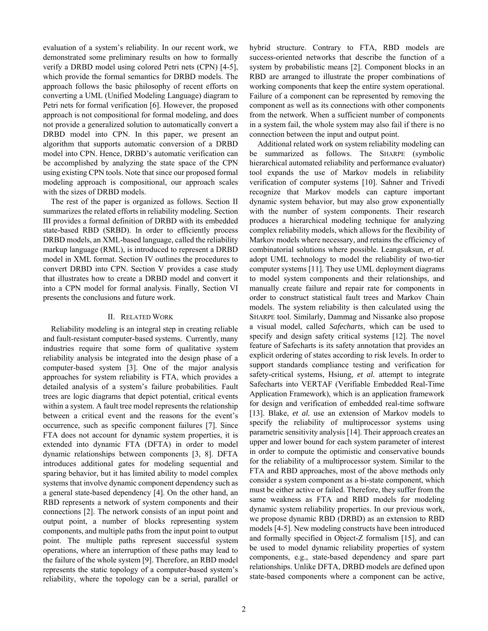evaluation of a system's reliability. In our recent work, we demonstrated some preliminary results on how to formally verify a DRBD model using colored Petri nets (CPN) [4-5], which provide the formal semantics for DRBD models. The approach follows the basic philosophy of recent efforts on converting a UML (Unified Modeling Language) diagram to Petri nets for formal verification [6]. However, the proposed approach is not compositional for formal modeling, and does not provide a generalized solution to automatically convert a DRBD model into CPN. In this paper, we present an algorithm that supports automatic conversion of a DRBD model into CPN. Hence, DRBD's automatic verification can be accomplished by analyzing the state space of the CPN using existing CPN tools. Note that since our proposed formal modeling approach is compositional, our approach scales with the sizes of DRBD models.

The rest of the paper is organized as follows. Section II summarizes the related efforts in reliability modeling. Section III provides a formal definition of DRBD with its embedded state-based RBD (SRBD). In order to efficiently process DRBD models, an XML-based language, called the reliability markup language (RML), is introduced to represent a DRBD model in XML format. Section IV outlines the procedures to convert DRBD into CPN. Section V provides a case study that illustrates how to create a DRBD model and convert it into a CPN model for formal analysis. Finally, Section VI presents the conclusions and future work.

# II. RELATED WORK

Reliability modeling is an integral step in creating reliable and fault-resistant computer-based systems. Currently, many industries require that some form of qualitative system reliability analysis be integrated into the design phase of a computer-based system [3]. One of the major analysis approaches for system reliability is FTA, which provides a detailed analysis of a system's failure probabilities. Fault trees are logic diagrams that depict potential, critical events within a system. A fault tree model represents the relationship between a critical event and the reasons for the event's occurrence, such as specific component failures [7]. Since FTA does not account for dynamic system properties, it is extended into dynamic FTA (DFTA) in order to model dynamic relationships between components [3, 8]. DFTA introduces additional gates for modeling sequential and sparing behavior, but it has limited ability to model complex systems that involve dynamic component dependency such as a general state-based dependency [4]. On the other hand, an RBD represents a network of system components and their connections [2]. The network consists of an input point and output point, a number of blocks representing system components, and multiple paths from the input point to output point. The multiple paths represent successful system operations, where an interruption of these paths may lead to the failure of the whole system [9]. Therefore, an RBD model represents the static topology of a computer-based system's reliability, where the topology can be a serial, parallel or hybrid structure. Contrary to FTA, RBD models are success-oriented networks that describe the function of a system by probabilistic means [2]. Component blocks in an RBD are arranged to illustrate the proper combinations of working components that keep the entire system operational. Failure of a component can be represented by removing the component as well as its connections with other components from the network. When a sufficient number of components in a system fail, the whole system may also fail if there is no connection between the input and output point.

Additional related work on system reliability modeling can be summarized as follows. The SHARPE (symbolic hierarchical automated reliability and performance evaluator) tool expands the use of Markov models in reliability verification of computer systems [10]. Sahner and Trivedi recognize that Markov models can capture important dynamic system behavior, but may also grow exponentially with the number of system components. Their research produces a hierarchical modeling technique for analyzing complex reliability models, which allows for the flexibility of Markov models where necessary, and retains the efficiency of combinatorial solutions where possible. Leangsuksun, *et al.* adopt UML technology to model the reliability of two-tier computer systems [11]. They use UML deployment diagrams to model system components and their relationships, and manually create failure and repair rate for components in order to construct statistical fault trees and Markov Chain models. The system reliability is then calculated using the SHARPE tool. Similarly, Dammag and Nissanke also propose a visual model, called *Safecharts*, which can be used to specify and design safety critical systems [12]. The novel feature of Safecharts is its safety annotation that provides an explicit ordering of states according to risk levels. In order to support standards compliance testing and verification for safety-critical systems, Hsiung, *et al.* attempt to integrate Safecharts into VERTAF (Verifiable Embedded Real-Time Application Framework), which is an application framework for design and verification of embedded real-time software [13]. Blake, *et al.* use an extension of Markov models to specify the reliability of multiprocessor systems using parametric sensitivity analysis [14]. Their approach creates an upper and lower bound for each system parameter of interest in order to compute the optimistic and conservative bounds for the reliability of a multiprocessor system. Similar to the FTA and RBD approaches, most of the above methods only consider a system component as a bi-state component, which must be either active or failed. Therefore, they suffer from the same weakness as FTA and RBD models for modeling dynamic system reliability properties. In our previous work, we propose dynamic RBD (DRBD) as an extension to RBD models [4-5]. New modeling constructs have been introduced and formally specified in Object-Z formalism [15], and can be used to model dynamic reliability properties of system components, e.g., state-based dependency and spare part relationships. Unlike DFTA, DRBD models are defined upon state-based components where a component can be active,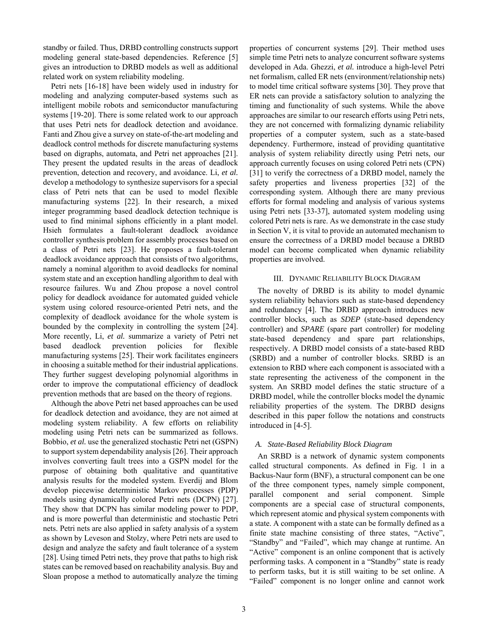standby or failed. Thus, DRBD controlling constructs support modeling general state-based dependencies. Reference [5] gives an introduction to DRBD models as well as additional related work on system reliability modeling.

Petri nets [16-18] have been widely used in industry for modeling and analyzing computer-based systems such as intelligent mobile robots and semiconductor manufacturing systems [19-20]. There is some related work to our approach that uses Petri nets for deadlock detection and avoidance. Fanti and Zhou give a survey on state-of-the-art modeling and deadlock control methods for discrete manufacturing systems based on digraphs, automata, and Petri net approaches [21]. They present the updated results in the areas of deadlock prevention, detection and recovery, and avoidance. Li, *et al.* develop a methodology to synthesize supervisors for a special class of Petri nets that can be used to model flexible manufacturing systems [22]. In their research, a mixed integer programming based deadlock detection technique is used to find minimal siphons efficiently in a plant model. Hsieh formulates a fault-tolerant deadlock avoidance controller synthesis problem for assembly processes based on a class of Petri nets [23]. He proposes a fault-tolerant deadlock avoidance approach that consists of two algorithms, namely a nominal algorithm to avoid deadlocks for nominal system state and an exception handling algorithm to deal with resource failures. Wu and Zhou propose a novel control policy for deadlock avoidance for automated guided vehicle system using colored resource-oriented Petri nets, and the complexity of deadlock avoidance for the whole system is bounded by the complexity in controlling the system [24]. More recently, Li, *et al.* summarize a variety of Petri net based deadlock prevention policies for flexible manufacturing systems [25]. Their work facilitates engineers in choosing a suitable method for their industrial applications. They further suggest developing polynomial algorithms in order to improve the computational efficiency of deadlock prevention methods that are based on the theory of regions.

Although the above Petri net based approaches can be used for deadlock detection and avoidance, they are not aimed at modeling system reliability. A few efforts on reliability modeling using Petri nets can be summarized as follows. Bobbio, *et al.* use the generalized stochastic Petri net (GSPN) to support system dependability analysis [26]. Their approach involves converting fault trees into a GSPN model for the purpose of obtaining both qualitative and quantitative analysis results for the modeled system. Everdij and Blom develop piecewise deterministic Markov processes (PDP) models using dynamically colored Petri nets (DCPN) [27]. They show that DCPN has similar modeling power to PDP, and is more powerful than deterministic and stochastic Petri nets. Petri nets are also applied in safety analysis of a system as shown by Leveson and Stolzy, where Petri nets are used to design and analyze the safety and fault tolerance of a system [28]. Using timed Petri nets, they prove that paths to high risk states can be removed based on reachability analysis. Buy and Sloan propose a method to automatically analyze the timing

properties of concurrent systems [29]. Their method uses simple time Petri nets to analyze concurrent software systems developed in Ada. Ghezzi, *et al.* introduce a high-level Petri net formalism, called ER nets (environment/relationship nets) to model time critical software systems [30]. They prove that ER nets can provide a satisfactory solution to analyzing the timing and functionality of such systems. While the above approaches are similar to our research efforts using Petri nets, they are not concerned with formalizing dynamic reliability properties of a computer system, such as a state-based dependency. Furthermore, instead of providing quantitative analysis of system reliability directly using Petri nets, our approach currently focuses on using colored Petri nets (CPN) [31] to verify the correctness of a DRBD model, namely the safety properties and liveness properties [32] of the corresponding system. Although there are many previous efforts for formal modeling and analysis of various systems using Petri nets [33-37], automated system modeling using colored Petri nets is rare. As we demonstrate in the case study in Section V, it is vital to provide an automated mechanism to ensure the correctness of a DRBD model because a DRBD model can become complicated when dynamic reliability properties are involved.

# III. DYNAMIC RELIABILITY BLOCK DIAGRAM

The novelty of DRBD is its ability to model dynamic system reliability behaviors such as state-based dependency and redundancy [4]. The DRBD approach introduces new controller blocks, such as *SDEP* (state-based dependency controller) and *SPARE* (spare part controller) for modeling state-based dependency and spare part relationships, respectively. A DRBD model consists of a state-based RBD (SRBD) and a number of controller blocks. SRBD is an extension to RBD where each component is associated with a state representing the activeness of the component in the system. An SRBD model defines the static structure of a DRBD model, while the controller blocks model the dynamic reliability properties of the system. The DRBD designs described in this paper follow the notations and constructs introduced in [4-5].

# *A. State-Based Reliability Block Diagram*

An SRBD is a network of dynamic system components called structural components. As defined in Fig. 1 in a Backus-Naur form (BNF), a structural component can be one of the three component types, namely simple component, parallel component and serial component. Simple components are a special case of structural components, which represent atomic and physical system components with a state. A component with a state can be formally defined as a finite state machine consisting of three states, "Active", "Standby" and "Failed", which may change at runtime. An "Active" component is an online component that is actively performing tasks. A component in a "Standby" state is ready to perform tasks, but it is still waiting to be set online. A "Failed" component is no longer online and cannot work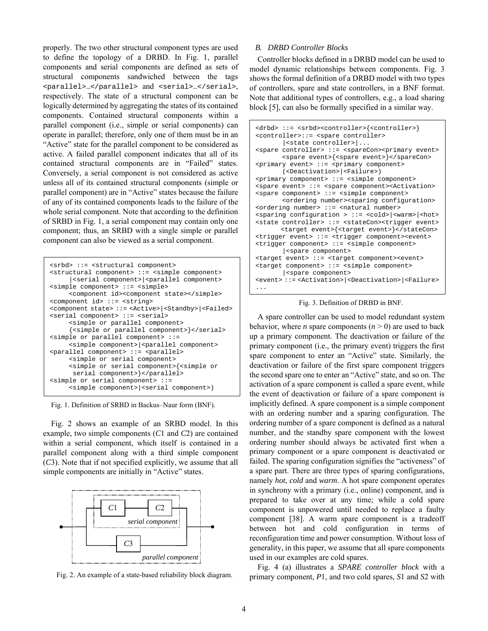properly. The two other structural component types are used to define the topology of a DRBD. In Fig. 1, parallel components and serial components are defined as sets of structural components sandwiched between the tags <parallel>…</parallel> and <serial>…</serial>, respectively. The state of a structural component can be logically determined by aggregating the states of its contained components. Contained structural components within a parallel component (i.e., simple or serial components) can operate in parallel; therefore, only one of them must be in an "Active" state for the parallel component to be considered as active. A failed parallel component indicates that all of its contained structural components are in "Failed" states. Conversely, a serial component is not considered as active unless all of its contained structural components (simple or parallel component) are in "Active" states because the failure of any of its contained components leads to the failure of the whole serial component. Note that according to the definition of SRBD in Fig. 1, a serial component may contain only one component; thus, an SRBD with a single simple or parallel component can also be viewed as a serial component.

```
<srbd> ::= <structural component> 
<structural component> ::= <simple component> 
      |<serial component>|<parallel component> 
<simple component> ::= <simple> 
      <component id><component state></simple> 
<component id> ::= <string> 
<component state> ::= <Active>|<Standby>|<Failed> 
<serial component> ::= <serial> 
      <simple or parallel component> 
      {<simple or parallel component>}</serial> 
<simple or parallel component> ::= 
     <simple component> <parallel component>
<parallel component> ::= <parallel> 
      <simple or serial component> 
      <simple or serial component>{<simple or 
      serial component>}</parallel>
<simple or serial component> ::= 
      <simple component>|<serial component>)
```
Fig. 1. Definition of SRBD in Backus–Naur form (BNF).

Fig. 2 shows an example of an SRBD model. In this example, two simple components (*C*1 and *C*2) are contained within a serial component, which itself is contained in a parallel component along with a third simple component (*C*3). Note that if not specified explicitly, we assume that all simple components are initially in "Active" states.



Fig. 2. An example of a state-based reliability block diagram.

# *B. DRBD Controller Blocks*

Controller blocks defined in a DRBD model can be used to model dynamic relationships between components. Fig. 3 shows the formal definition of a DRBD model with two types of controllers, spare and state controllers, in a BNF format. Note that additional types of controllers, e.g., a load sharing block [5], can also be formally specified in a similar way.

```
<drbd> ::= <srbd><controller>{<controller>} 
<controller>::= <spare controller> 
        |<state controller>|... 
<spare controller> ::= <spareCon><primary event> 
        <spare event>{<spare event>}</spareCon> 
<primary event> ::= <primary component> 
        (<Deactivation>|<Failure>) 
<primary component> ::= <simple component> 
<spare event> ::= <spare component><Activation> 
<spare component> ::= <simple component> 
        <ordering number><sparing configuration> 
<ordering number> ::= <natural number> 
<sparing configuration > ::= <cold>|<warm>|<hot> 
<state controller> ::= <stateCon><trigger event> 
       <target event>{<target event>}</stateCon> 
<trigger event> ::= <trigger component><event> 
<trigger component> ::= <simple component> 
        |<spare component> 
<target event> ::= <target component><event> 
<target component> ::= <simple component> 
        |<spare component> 
<event> ::= <Activation>|<Deactivation>|<Failure> 
...
```
Fig. 3. Definition of DRBD in BNF.

A spare controller can be used to model redundant system behavior, where *n* spare components  $(n \geq 0)$  are used to back up a primary component. The deactivation or failure of the primary component (i.e., the primary event) triggers the first spare component to enter an "Active" state. Similarly, the deactivation or failure of the first spare component triggers the second spare one to enter an "Active" state, and so on. The activation of a spare component is called a spare event, while the event of deactivation or failure of a spare component is implicitly defined. A spare component is a simple component with an ordering number and a sparing configuration. The ordering number of a spare component is defined as a natural number, and the standby spare component with the lowest ordering number should always be activated first when a primary component or a spare component is deactivated or failed. The sparing configuration signifies the "activeness" of a spare part. There are three types of sparing configurations, namely *hot*, *cold* and *warm*. A hot spare component operates in synchrony with a primary (i.e., online) component, and is prepared to take over at any time; while a cold spare component is unpowered until needed to replace a faulty component [38]. A warm spare component is a tradeoff between hot and cold configuration in terms of reconfiguration time and power consumption. Without loss of generality, in this paper, we assume that all spare components used in our examples are cold spares.

Fig. 4 (a) illustrates a *SPARE controller block* with a primary component, *P*1, and two cold spares, *S*1 and *S*2 with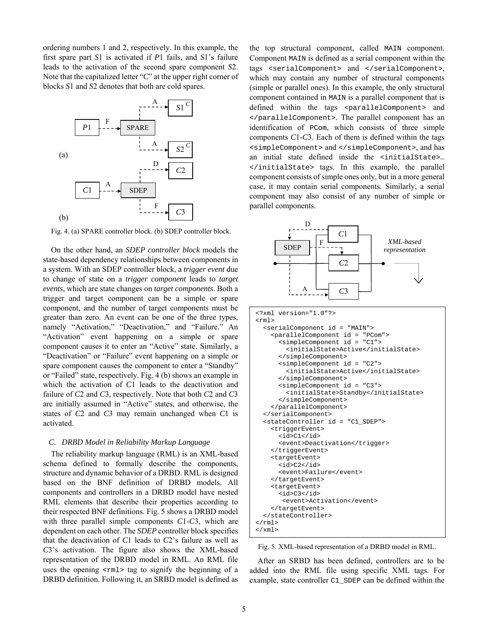ordering numbers 1 and 2, respectively. In this example, the first spare part *S*1 is activated if *P*1 fails, and *S*1's failure leads to the activation of the second spare component *S*2. Note that the capitalized letter "*C*" at the upper right corner of blocks *S*1 and *S*2 denotes that both are cold spares.



Fig. 4. (a) SPARE controller block. (b) SDEP controller block.

On the other hand, an *SDEP controller block* models the state-based dependency relationships between components in a system. With an SDEP controller block, a *trigger event* due to change of state on a *trigger component* leads to *target events*, which are state changes on *target components*. Both a trigger and target component can be a simple or spare component, and the number of target components must be greater than zero. An event can be one of the three types, namely "Activation," "Deactivation," and "Failure." An "Activation" event happening on a simple or spare component causes it to enter an "Active" state. Similarly, a "Deactivation" or "Failure" event happening on a simple or spare component causes the component to enter a "Standby" or "Failed" state, respectively. Fig. 4 (b) shows an example in which the activation of *C*1 leads to the deactivation and failure of *C*2 and *C*3, respectively. Note that both *C*2 and *C*3 are initially assumed in "Active" states, and otherwise, the states of *C*2 and *C*3 may remain unchanged when *C*1 is activated.

# *C. DRBD Model in Reliability Markup Language*

The reliability markup language (RML) is an XML-based schema defined to formally describe the components, structure and dynamic behavior of a DRBD. RML is designed based on the BNF definition of DRBD models. All components and controllers in a DRBD model have nested RML elements that describe their properties according to their respected BNF definitions. Fig. 5 shows a DRBD model with three parallel simple components *C*1-*C*3, which are dependent on each other. The *SDEP* controller block specifies that the deactivation of *C*1 leads to *C*2's failure as well as *C*3's activation. The figure also shows the XML-based representation of the DRBD model in RML. An RML file uses the opening  $\langle \text{rm1} \rangle$  tag to signify the beginning of a DRBD definition. Following it, an SRBD model is defined as the top structural component, called MAIN component. Component MAIN is defined as a serial component within the tags <serialComponent> and </serialComponent>, which may contain any number of structural components (simple or parallel ones). In this example, the only structural component contained in MAIN is a parallel component that is defined within the tags <parallelComponent> and </parallelComponent>. The parallel component has an identification of PCom, which consists of three simple components *C*1-*C*3. Each of them is defined within the tags <simpleComponent> and </simpleComponent>, and has an initial state defined inside the <initialState>… </initialState> tags. In this example, the parallel component consists of simple ones only, but in a more general case, it may contain serial components. Similarly, a serial component may also consist of any number of simple or parallel components.



Fig. 5. XML-based representation of a DRBD model in RML.

After an SRBD has been defined, controllers are to be added into the RML file using specific XML tags. For example, state controller C1\_SDEP can be defined within the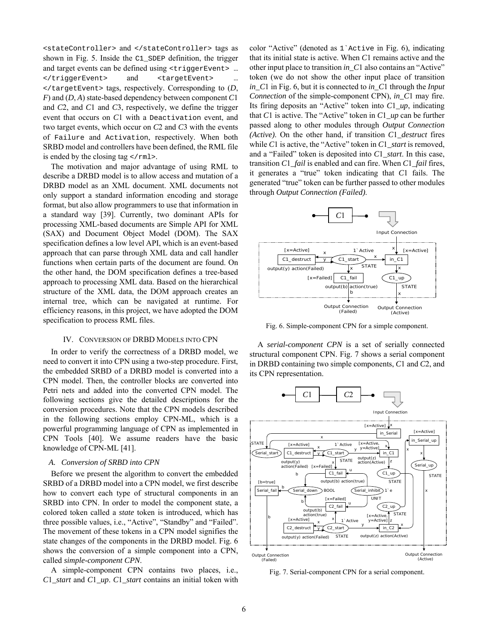<stateController> and </stateController> tags as shown in Fig. 5. Inside the C1\_SDEP definition, the trigger and target events can be defined using <triggerEvent> … </triggerEvent> and <targetEvent> … </targetEvent> tags, respectively. Corresponding to (*D*, *F*) and (*D*, *A*) state-based dependency between component *C*1 and *C*2, and *C*1 and *C*3, respectively, we define the trigger event that occurs on *C*1 with a Deactivation event, and two target events, which occur on *C*2 and *C*3 with the events of Failure and Activation, respectively. When both SRBD model and controllers have been defined, the RML file is ended by the closing tag  $\lt$ / $\text{rm1}>$ .

The motivation and major advantage of using RML to describe a DRBD model is to allow access and mutation of a DRBD model as an XML document. XML documents not only support a standard information encoding and storage format, but also allow programmers to use that information in a standard way [39]. Currently, two dominant APIs for processing XML-based documents are Simple API for XML (SAX) and Document Object Model (DOM). The SAX specification defines a low level API, which is an event-based approach that can parse through XML data and call handler functions when certain parts of the document are found. On the other hand, the DOM specification defines a tree-based approach to processing XML data. Based on the hierarchical structure of the XML data, the DOM approach creates an internal tree, which can be navigated at runtime. For efficiency reasons, in this project, we have adopted the DOM specification to process RML files.

## IV. CONVERSION OF DRBD MODELS INTO CPN

In order to verify the correctness of a DRBD model, we need to convert it into CPN using a two-step procedure. First, the embedded SRBD of a DRBD model is converted into a CPN model. Then, the controller blocks are converted into Petri nets and added into the converted CPN model. The following sections give the detailed descriptions for the conversion procedures. Note that the CPN models described in the following sections employ CPN-ML, which is a powerful programming language of CPN as implemented in CPN Tools [40]. We assume readers have the basic knowledge of CPN-ML [41].

#### *A. Conversion of SRBD into CPN*

Before we present the algorithm to convert the embedded SRBD of a DRBD model into a CPN model, we first describe how to convert each type of structural components in an SRBD into CPN. In order to model the component state, a colored token called a *state* token is introduced, which has three possible values, i.e., "Active", "Standby" and "Failed". The movement of these tokens in a CPN model signifies the state changes of the components in the DRBD model. Fig. 6 shows the conversion of a simple component into a CPN, called *simple-component CPN*.

A simple-component CPN contains two places, i.e., *C*1*\_start* and *C*1*\_up*. *C*1*\_start* contains an initial token with color "Active" (denoted as 1`Active in Fig. 6), indicating that its initial state is active. When *C*1 remains active and the other input place to transition *in\_C*1 also contains an "Active" token (we do not show the other input place of transition *in\_C*1 in Fig. 6, but it is connected to *in\_C*1 through the *Input Connection* of the simple-component CPN), *in\_C*1 may fire. Its firing deposits an "Active" token into *C*1*\_up*, indicating that *C*1 is active. The "Active" token in *C*1*\_up* can be further passed along to other modules through *Output Connection (Active)*. On the other hand, if transition *C*1*\_destruct* fires while *C*1 is active, the "Active" token in *C*1*\_start* is removed, and a "Failed" token is deposited into *C*1*\_start*. In this case, transition *C*1*\_fail* is enabled and can fire. When *C*1*\_fail* fires, it generates a "true" token indicating that *C*1 fails. The generated "true" token can be further passed to other modules through *Output Connection (Failed)*.



Fig. 6. Simple-component CPN for a simple component.

A *serial-component CPN* is a set of serially connected structural component CPN. Fig. 7 shows a serial component in DRBD containing two simple components, *C*1 and *C*2, and its CPN representation.



Fig. 7. Serial-component CPN for a serial component.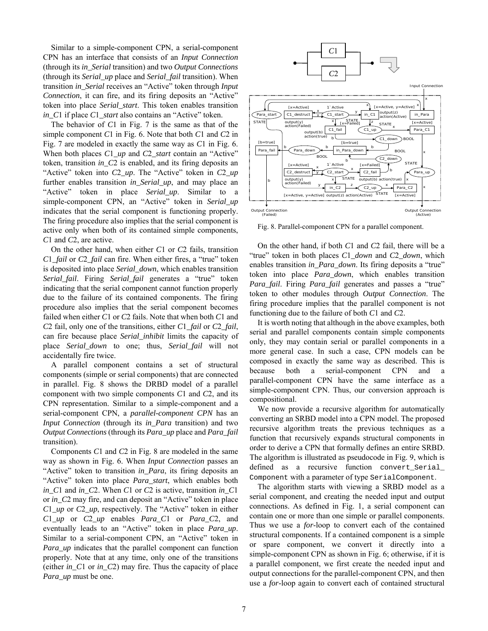Similar to a simple-component CPN, a serial-component CPN has an interface that consists of an *Input Connection* (through its *in\_Serial* transition) and two *Output Connections* (through its *Serial\_up* place and *Serial\_fail* transition). When transition *in\_Serial* receives an "Active" token through *Input Connection*, it can fire, and its firing deposits an "Active" token into place *Serial\_start*. This token enables transition *in\_C*1 if place *C*1*\_start* also contains an "Active" token.

The behavior of *C*1 in Fig. 7 is the same as that of the simple component *C*1 in Fig. 6. Note that both *C*1 and *C*2 in Fig. 7 are modeled in exactly the same way as *C*1 in Fig. 6. When both places *C*1*\_up* and *C*2*\_start* contain an "Active" token, transition *in\_C*2 is enabled, and its firing deposits an "Active" token into *C*2*\_up*. The "Active" token in *C*2*\_up* further enables transition *in\_Serial\_up*, and may place an "Active" token in place *Serial\_up*. Similar to a simple-component CPN, an "Active" token in *Serial\_up* indicates that the serial component is functioning properly. The firing procedure also implies that the serial component is active only when both of its contained simple components, *C*1 and *C*2, are active.

On the other hand, when either *C*1 or *C*2 fails, transition *C*1*\_fail* or *C*2*\_fail* can fire. When either fires, a "true" token is deposited into place *Serial\_down*, which enables transition *Serial\_fail*. Firing *Serial\_fail* generates a "true" token indicating that the serial component cannot function properly due to the failure of its contained components. The firing procedure also implies that the serial component becomes failed when either *C*1 or *C*2 fails. Note that when both *C*1 and *C*2 fail, only one of the transitions, either *C*1*\_fail* or *C*2*\_fail*, can fire because place *Serial\_inhibit* limits the capacity of place *Serial\_down* to one; thus, *Serial\_fail* will not accidentally fire twice.

A parallel component contains a set of structural components (simple or serial components) that are connected in parallel. Fig. 8 shows the DRBD model of a parallel component with two simple components *C*1 and *C*2, and its CPN representation. Similar to a simple-component and a serial-component CPN, a *parallel-component CPN* has an *Input Connection* (through its *in\_Para* transition) and two *Output Connections* (through its *Para\_up* place and *Para\_fail* transition).

Components *C*1 and *C*2 in Fig. 8 are modeled in the same way as shown in Fig. 6. When *Input Connection* passes an "Active" token to transition *in\_Para*, its firing deposits an "Active" token into place *Para\_start*, which enables both *in\_C*1 and *in\_C*2. When *C*1 or *C*2 is active, transition *in\_C*1 or *in\_C*2 may fire, and can deposit an "Active" token in place *C*1*\_up* or *C*2*\_up*, respectively. The "Active" token in either *C*1*\_up* or *C*2*\_up* enables *Para\_C*1 or *Para\_C*2, and eventually leads to an "Active" token in place *Para\_up*. Similar to a serial-component CPN, an "Active" token in *Para\_up* indicates that the parallel component can function properly. Note that at any time, only one of the transitions (either *in\_C*1 or *in\_C*2) may fire. Thus the capacity of place *Para\_up* must be one.



Fig. 8. Parallel-component CPN for a parallel component.

On the other hand, if both *C*1 and *C*2 fail, there will be a "true" token in both places *C*1*\_down* and *C*2*\_down*, which enables transition *in\_Para\_down*. Its firing deposits a "true" token into place *Para\_down*, which enables transition *Para\_fail*. Firing *Para\_fail* generates and passes a "true" token to other modules through *Output Connection*. The firing procedure implies that the parallel component is not functioning due to the failure of both *C*1 and *C*2.

It is worth noting that although in the above examples, both serial and parallel components contain simple components only, they may contain serial or parallel components in a more general case. In such a case, CPN models can be composed in exactly the same way as described. This is because both a serial-component CPN and a parallel-component CPN have the same interface as a simple-component CPN. Thus, our conversion approach is compositional.

We now provide a recursive algorithm for automatically converting an SRBD model into a CPN model. The proposed recursive algorithm treats the previous techniques as a function that recursively expands structural components in order to derive a CPN that formally defines an entire SRBD. The algorithm is illustrated as pseudocode in Fig. 9, which is defined as a recursive function convert\_Serial\_ Component with a parameter of type SerialComponent.

The algorithm starts with viewing a SRBD model as a serial component, and creating the needed input and output connections. As defined in Fig. 1, a serial component can contain one or more than one simple or parallel components. Thus we use a *for*-loop to convert each of the contained structural components. If a contained component is a simple or spare component, we convert it directly into a simple-component CPN as shown in Fig. 6; otherwise, if it is a parallel component, we first create the needed input and output connections for the parallel-component CPN, and then use a *for*-loop again to convert each of contained structural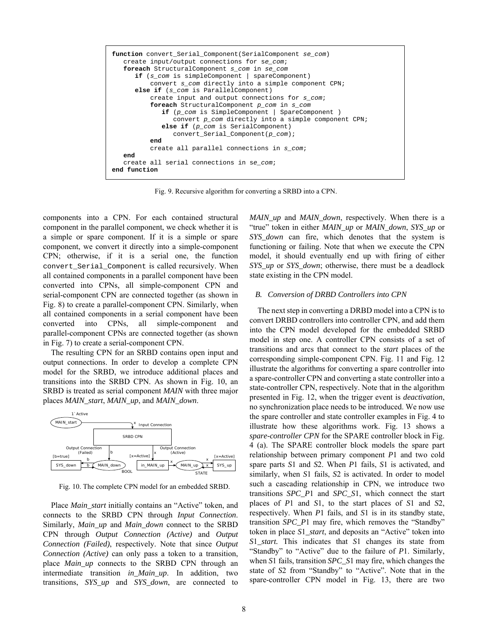

Fig. 9. Recursive algorithm for converting a SRBD into a CPN.

components into a CPN. For each contained structural component in the parallel component, we check whether it is a simple or spare component. If it is a simple or spare component, we convert it directly into a simple-component CPN; otherwise, if it is a serial one, the function convert\_Serial\_Component is called recursively. When all contained components in a parallel component have been converted into CPNs, all simple-component CPN and serial-component CPN are connected together (as shown in Fig. 8) to create a parallel-component CPN. Similarly, when all contained components in a serial component have been converted into CPNs, all simple-component and parallel-component CPNs are connected together (as shown in Fig. 7) to create a serial-component CPN.

The resulting CPN for an SRBD contains open input and output connections. In order to develop a complete CPN model for the SRBD, we introduce additional places and transitions into the SRBD CPN. As shown in Fig. 10, an SRBD is treated as serial component *MAIN* with three major places *MAIN\_start*, *MAIN\_up*, and *MAIN\_down*.



Fig. 10. The complete CPN model for an embedded SRBD.

Place *Main* start initially contains an "Active" token, and connects to the SRBD CPN through *Input Connection*. Similarly, *Main\_up* and *Main\_down* connect to the SRBD CPN through *Output Connection (Active)* and *Output Connection (Failed)*, respectively. Note that since *Output Connection (Active)* can only pass a token to a transition, place *Main\_up* connects to the SRBD CPN through an intermediate transition *in\_Main\_up*. In addition, two transitions, *SYS\_up* and *SYS\_down*, are connected to *MAIN\_up* and *MAIN\_down*, respectively. When there is a "true" token in either *MAIN\_up* or *MAIN\_down*, *SYS\_up* or *SYS\_down* can fire, which denotes that the system is functioning or failing. Note that when we execute the CPN model, it should eventually end up with firing of either *SYS\_up* or *SYS\_down*; otherwise, there must be a deadlock state existing in the CPN model.

# *B. Conversion of DRBD Controllers into CPN*

The next step in converting a DRBD model into a CPN is to convert DRBD controllers into controller CPN, and add them into the CPN model developed for the embedded SRBD model in step one. A controller CPN consists of a set of transitions and arcs that connect to the *start* places of the corresponding simple-component CPN. Fig. 11 and Fig. 12 illustrate the algorithms for converting a spare controller into a spare-controller CPN and converting a state controller into a state-controller CPN, respectively. Note that in the algorithm presented in Fig. 12, when the trigger event is *deactivation*, no synchronization place needs to be introduced. We now use the spare controller and state controller examples in Fig. 4 to illustrate how these algorithms work. Fig. 13 shows a *spare-controller CPN* for the SPARE controller block in Fig. 4 (a). The SPARE controller block models the spare part relationship between primary component *P*1 and two cold spare parts *S*1 and *S*2. When *P*1 fails, *S*1 is activated, and similarly, when *S*1 fails, *S*2 is activated. In order to model such a cascading relationship in CPN, we introduce two transitions *SPC\_P*1 and *SPC\_S*1, which connect the start places of *P*1 and *S*1, to the start places of *S*1 and *S*2, respectively. When *P*1 fails, and *S*1 is in its standby state, transition *SPC\_P*1 may fire, which removes the "Standby" token in place *S*1*\_start*, and deposits an "Active" token into *S*1*\_start.* This indicates that *S*1 changes its state from "Standby" to "Active" due to the failure of *P*1. Similarly, when *S*1 fails, transition *SPC\_S*1 may fire, which changes the state of *S*2 from "Standby" to "Active". Note that in the spare-controller CPN model in Fig. 13, there are two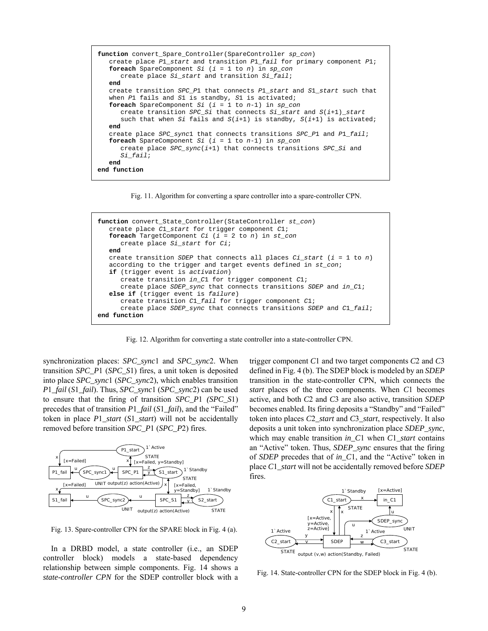```
function convert_Spare_Controller(SpareController sp_con) 
    create place P1_start and transition P1_fail for primary component P1; 
    foreach SpareComponent Si (i = 1 to n) in sp_con 
       create place Si_start and transition Si_fail; 
    end 
   create transition SPC_P1 that connects P1_start and S1_start such that 
    when P1 fails and S1 is standby, S1 is activated; 
    foreach SpareComponent Si (i = 1 to n-1) in sp_con
       create transition SPC_Si that connects Si_start and S(i+1)_start 
       such that when Si fails and S(i+1) is standby, S(i+1) is activated; 
    end 
    create place SPC_sync1 that connects transitions SPC_P1 and P1_fail; 
    foreach SpareComponent Si (i = 1 to n-1) in sp_con
       create place SPC_sync(i+1) that connects transitions SPC_Si and 
       Si_fail; 
    end 
end function
```
Fig. 11. Algorithm for converting a spare controller into a spare-controller CPN.

```
function convert_State_Controller(StateController st_con) 
    create place C1_start for trigger component C1; 
    foreach TargetComponent Ci (i = 2 to n) in st_con
       create place Si_start for Ci; 
    end 
    create transition SDEP that connects all places Ci_start (i = 1 to n) 
    according to the trigger and target events defined in st_con; 
    if (trigger event is activation) 
       create transition in_C1 for trigger component C1; 
       create place SDEP_sync that connects transitions SDEP and in_C1; 
    else if (trigger event is failure) 
       create transition C1_fail for trigger component C1; 
 create 
place SDEP_sync that connects transitions SDEP and C1_fail; 
end function
```
Fig. 12. Algorithm for converting a state controller into a state-controller CPN.

synchronization places: *SPC\_sync*1 and *SPC\_sync*2. When transition *SPC\_P*1 (*SPC\_S*1) fires, a unit token is deposited into place *SPC\_sync*1 (*SPC\_sync*2), which enables transition *P*1*\_fail* (*S*1*\_fail*). Thus, *SPC\_sync*1 (*SPC\_sync*2) can be used to ensure that the firing of transition *SPC\_P*1 *(SPC\_S*1) precedes that of transition *P*1*\_fail* (*S*1*\_fail*), and the "Failed" token in place *P*1*\_start* (*S*1*\_start*) will not be accidentally removed before transition *SPC\_P*1 (*SPC\_P*2) fires.



Fig. 13. Spare-controller CPN for the SPARE block in Fig. 4 (a).

In a DRBD model, a state controller (i.e., an SDEP controller block) models a state-based dependency relationship between simple components. Fig. 14 shows a *state-controller CPN* for the SDEP controller block with a trigger component *C*1 and two target components *C*2 and *C*3 defined in Fig. 4 (b). The SDEP block is modeled by an *SDEP* transition in the state-controller CPN, which connects the *start* places of the three components. When *C*1 becomes active, and both *C*2 and *C*3 are also active, transition *SDEP* becomes enabled. Its firing deposits a "Standby" and "Failed" token into places *C*2*\_start* and *C*3*\_start*, respectively. It also deposits a unit token into synchronization place *SDEP\_sync*, which may enable transition *in\_C*1 when *C*1*\_start* contains an "Active" token. Thus, *SDEP\_sync* ensures that the firing of *SDEP* precedes that of *in\_C*1, and the "Active" token in place *C*1*\_start* will not be accidentally removed before *SDEP* fires.



Fig. 14. State-controller CPN for the SDEP block in Fig. 4 (b).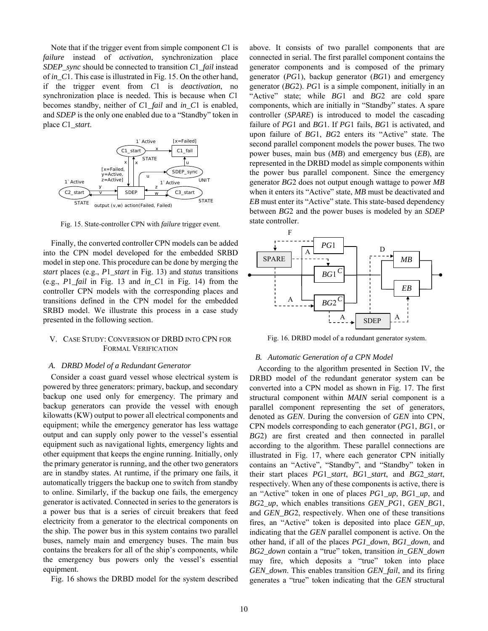Note that if the trigger event from simple component *C*1 is *failure* instead of *activation*, synchronization place *SDEP\_sync* should be connected to transition *C*1*\_fail* instead of *in\_C*1. This case is illustrated in Fig. 15. On the other hand, if the trigger event from *C*1 is *deactivation*, no synchronization place is needed. This is because when *C*1 becomes standby, neither of *C*1*\_fail* and *in\_C*1 is enabled, and *SDEP* is the only one enabled due to a "Standby" token in place *C*1*\_start*.



Fig. 15. State-controller CPN with *failure* trigger event.

Finally, the converted controller CPN models can be added into the CPN model developed for the embedded SRBD model in step one. This procedure can be done by merging the *start* places (e.g., *P*1*\_start* in Fig. 13) and *status* transitions (e.g., *P*1*\_fail* in Fig. 13 and *in\_C*1 in Fig. 14) from the controller CPN models with the corresponding places and transitions defined in the CPN model for the embedded SRBD model. We illustrate this process in a case study presented in the following section.

# V. CASE STUDY: CONVERSION OF DRBD INTO CPN FOR FORMAL VERIFICATION

#### *A. DRBD Model of a Redundant Generator*

Consider a coast guard vessel whose electrical system is powered by three generators: primary, backup, and secondary backup one used only for emergency. The primary and backup generators can provide the vessel with enough kilowatts (KW) output to power all electrical components and equipment; while the emergency generator has less wattage output and can supply only power to the vessel's essential equipment such as navigational lights, emergency lights and other equipment that keeps the engine running. Initially, only the primary generator is running, and the other two generators are in standby states. At runtime, if the primary one fails, it automatically triggers the backup one to switch from standby to online. Similarly, if the backup one fails, the emergency generator is activated. Connected in series to the generators is a power bus that is a series of circuit breakers that feed electricity from a generator to the electrical components on the ship. The power bus in this system contains two parallel buses, namely main and emergency buses. The main bus contains the breakers for all of the ship's components, while the emergency bus powers only the vessel's essential equipment.

Fig. 16 shows the DRBD model for the system described

above. It consists of two parallel components that are connected in serial. The first parallel component contains the generator components and is composed of the primary generator (*PG*1), backup generator (*BG*1) and emergency generator (*BG*2). *PG*1 is a simple component, initially in an "Active" state; while *BG*1 and *BG*2 are cold spare components, which are initially in "Standby" states. A spare controller (*SPARE*) is introduced to model the cascading failure of *PG*1 and *BG*1. If *PG*1 fails, *BG*1 is activated, and upon failure of *BG*1, *BG*2 enters its "Active" state. The second parallel component models the power buses. The two power buses, main bus (*MB*) and emergency bus (*EB*), are represented in the DRBD model as simple components within the power bus parallel component. Since the emergency generator *BG*2 does not output enough wattage to power *MB* when it enters its "Active" state, *MB* must be deactivated and *EB* must enter its "Active" state. This state-based dependency between *BG*2 and the power buses is modeled by an *SDEP*  state controller.



Fig. 16. DRBD model of a redundant generator system.

#### *B. Automatic Generation of a CPN Model*

According to the algorithm presented in Section IV, the DRBD model of the redundant generator system can be converted into a CPN model as shown in Fig. 17. The first structural component within *MAIN* serial component is a parallel component representing the set of generators, denoted as *GEN*. During the conversion of *GEN* into CPN, CPN models corresponding to each generator (*PG*1, *BG*1, or *BG*2) are first created and then connected in parallel according to the algorithm. These parallel connections are illustrated in Fig. 17, where each generator CPN initially contains an "Active", "Standby", and "Standby" token in their start places *PG*1*\_start*, *BG*1*\_start*, and *BG*2*\_start*, respectively. When any of these components is active, there is an "Active" token in one of places *PG*1*\_up*, *BG*1*\_up*, and *BG*2*\_up*, which enables transitions *GEN\_PG*1, *GEN\_BG*1, and *GEN\_BG*2, respectively. When one of these transitions fires, an "Active" token is deposited into place *GEN\_up*, indicating that the *GEN* parallel component is active. On the other hand, if all of the places *PG1\_down*, *BG1\_down*, and *BG2\_down* contain a "true" token, transition *in\_GEN\_down* may fire, which deposits a "true" token into place *GEN\_down*. This enables transition *GEN\_fail*, and its firing generates a "true" token indicating that the *GEN* structural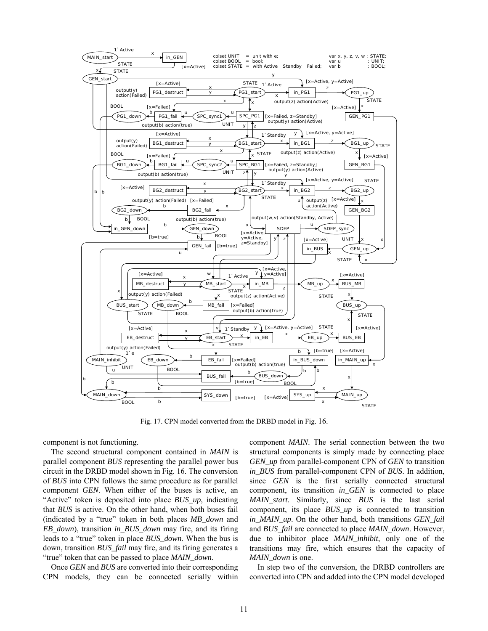

Fig. 17. CPN model converted from the DRBD model in Fig. 16.

component is not functioning.

The second structural component contained in *MAIN* is parallel component *BUS* representing the parallel power bus circuit in the DRBD model shown in Fig. 16. The conversion of *BUS* into CPN follows the same procedure as for parallel component *GEN*. When either of the buses is active, an "Active" token is deposited into place *BUS\_up*, indicating that *BUS* is active. On the other hand, when both buses fail (indicated by a "true" token in both places *MB\_down* and *EB\_down*), transition *in\_BUS\_down* may fire, and its firing leads to a "true" token in place *BUS\_down*. When the bus is down, transition *BUS\_fail* may fire, and its firing generates a "true" token that can be passed to place *MAIN\_down*.

Once *GEN* and *BUS* are converted into their corresponding CPN models, they can be connected serially within component *MAIN*. The serial connection between the two structural components is simply made by connecting place *GEN\_up* from parallel-component CPN of *GEN* to transition *in\_BUS* from parallel-component CPN of *BUS*. In addition, since *GEN* is the first serially connected structural component, its transition *in\_GEN* is connected to place *MAIN\_start*. Similarly, since *BUS* is the last serial component, its place *BUS\_up* is connected to transition *in\_MAIN\_up*. On the other hand, both transitions *GEN\_fail* and *BUS\_fail* are connected to place *MAIN\_down*. However, due to inhibitor place *MAIN\_inhibit*, only one of the transitions may fire, which ensures that the capacity of *MAIN\_down* is one.

In step two of the conversion, the DRBD controllers are converted into CPN and added into the CPN model developed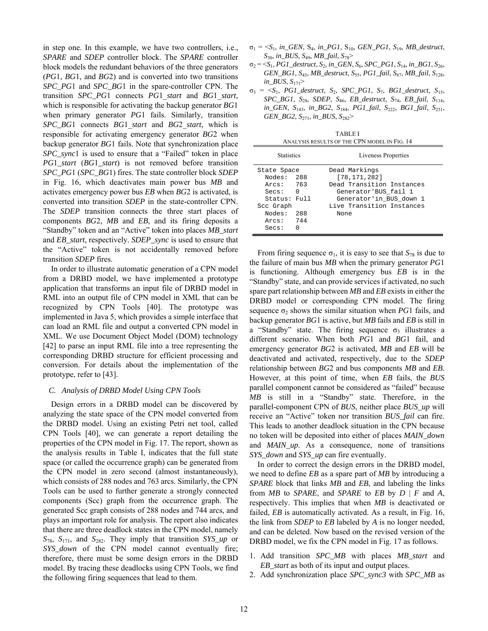in step one. In this example, we have two controllers, i.e., *SPARE* and *SDEP* controller block. The *SPARE* controller block models the redundant behaviors of the three generators (*PG*1, *BG*1, and *BG*2) and is converted into two transitions *SPC\_PG*1 and *SPC\_BG*1 in the spare-controller CPN. The transition *SPC\_PG*1 connects *PG*1\_*start* and *BG*1\_*start*, which is responsible for activating the backup generator *BG*1 when primary generator *PG*1 fails. Similarly, transition *SPC\_BG*1 connects *BG*1\_*start* and *BG*2\_*start*, which is responsible for activating emergency generator *BG*2 when backup generator *BG*1 fails. Note that synchronization place *SPC\_sync*1 is used to ensure that a "Failed" token in place *PG*1*\_start* (*BG*1*\_start*) is not removed before transition *SPC\_PG*1 (*SPC\_BG*1) fires. The state controller block *SDEP* in Fig. 16, which deactivates main power bus *MB* and activates emergency power bus *EB* when *BG*2 is activated, is converted into transition *SDEP* in the state-controller CPN. The *SDEP* transition connects the three start places of components *BG*2, *MB* and *EB*, and its firing deposits a "Standby" token and an "Active" token into places *MB\_start* and *EB\_start*, respectively. *SDEP\_sync* is used to ensure that the "Active" token is not accidentally removed before transition *SDEP* fires.

In order to illustrate automatic generation of a CPN model from a DRBD model, we have implemented a prototype application that transforms an input file of DRBD model in RML into an output file of CPN model in XML that can be recognized by CPN Tools [40]. The prototype was implemented in Java 5, which provides a simple interface that can load an RML file and output a converted CPN model in XML. We use Document Object Model (DOM) technology [42] to parse an input RML file into a tree representing the corresponding DRBD structure for efficient processing and conversion. For details about the implementation of the prototype, refer to [43].

## *C. Analysis of DRBD Model Using CPN Tools*

Design errors in a DRBD model can be discovered by analyzing the state space of the CPN model converted from the DRBD model. Using an existing Petri net tool, called CPN Tools [40], we can generate a report detailing the properties of the CPN model in Fig. 17. The report, shown as the analysis results in Table I, indicates that the full state space (or called the occurrence graph) can be generated from the CPN model in zero second (almost instantaneously), which consists of 288 nodes and 763 arcs. Similarly, the CPN Tools can be used to further generate a strongly connected components (Scc) graph from the occurrence graph. The generated Scc graph consists of 288 nodes and 744 arcs, and plays an important role for analysis. The report also indicates that there are three deadlock states in the CPN model, namely *S*78, *S*171, and *S*282. They imply that transition *SYS\_up* or *SYS\_down* of the CPN model cannot eventually fire; therefore, there must be some design errors in the DRBD model. By tracing these deadlocks using CPN Tools, we find the following firing sequences that lead to them.

- $\sigma_1 = \langle S_1, in\_GEN, S_4, in\_PGI, S_{10}, GEN\_PGI, S_{19}, MB\_destruct,$ *S*30, *in\_BUS*, *S*49, *MB\_fail*, *S*78>
- $\sigma_2 = \langle S_1, PGI\_destruct, S_2, in\_GEN, S_6, SPC\_PG1, S_{14}, in\_BG1, S_{26},$ *GEN\_BG1*, *S*43, *MB\_destruct*, *S*55, *PG1\_fail*, *S*87, *MB\_fail*, *S*128, *in\_BUS*, *S*171>
- $\sigma_3$  =  $\langle S_1, PG1$  destruct,  $S_2$ ,  $SPC$ <sup>Q</sup> $PGI$ ,  $S_7$ ,  $BG1$ <sub>destruct,  $S_{15}$ ,</sub> *SPC\_BG1*, *S*28, *SDEP*, *S*46, *EB\_destruct*, *S*74, *EB\_fail*, *S*114, *in\_GEN*, *S*143, *in\_BG2*, *S*184, *PG1\_fail*, *S*222, *BG1\_fail*, *S*251, *GEN\_BG2*, *S*271, *in\_BUS*, *S*282>

TABLE I ANALYSIS RESULTS OF THE CPN MODEL IN FIG. 14

| <b>Statistics</b>                                                                                            |                       | Liveness Properties                                                                                                                                  |
|--------------------------------------------------------------------------------------------------------------|-----------------------|------------------------------------------------------------------------------------------------------------------------------------------------------|
| State Space<br>Nodes: 288<br>Arcs: 763<br>Secs:<br>Status: Full<br>Scc Graph<br>Nodes:<br>Arcs: 744<br>Secs: | $\Omega$<br>-288<br>N | Dead Markings<br>[78, 171, 282]<br>Dead Transition Instances<br>Generator'BUS fail 1<br>Generator'in_BUS_down 1<br>Live Transition Instances<br>None |

From firing sequence  $\sigma_1$ , it is easy to see that  $S_{78}$  is due to the failure of main bus *MB* when the primary generator *PG*1 is functioning. Although emergency bus *EB* is in the "Standby" state, and can provide services if activated, no such spare part relationship between *MB* and *EB* exists in either the DRBD model or corresponding CPN model. The firing sequence  $\sigma_2$  shows the similar situation when *PG*1 fails, and backup generator *BG*1 is active, but *MB* fails and *EB* is still in a "Standby" state. The firing sequence  $\sigma_3$  illustrates a different scenario. When both *PG*1 and *BG*1 fail, and emergency generator *BG*2 is activated, *MB* and *EB* will be deactivated and activated, respectively, due to the *SDEP* relationship between *BG*2 and bus components *MB* and *EB*. However, at this point of time, when *EB* fails, the *BUS* parallel component cannot be considered as "failed" because *MB* is still in a "Standby" state. Therefore, in the parallel-component CPN of *BUS*, neither place *BUS\_up* will receive an "Active" token nor transition *BUS\_fail* can fire. This leads to another deadlock situation in the CPN because no token will be deposited into either of places *MAIN\_down* and *MAIN\_up*. As a consequence, none of transitions *SYS\_down* and *SYS\_up* can fire eventually.

In order to correct the design errors in the DRBD model, we need to define *EB* as a spare part of *MB* by introducing a *SPARE* block that links *MB* and *EB*, and labeling the links from *MB* to *SPARE*, and *SPARE* to *EB* by *D* | *F* and *A*, respectively. This implies that when *MB* is deactivated or failed, *EB* is automatically activated. As a result, in Fig. 16, the link from *SDEP* to *EB* labeled by *A* is no longer needed, and can be deleted. Now based on the revised version of the DRBD model, we fix the CPN model in Fig. 17 as follows.

- 1. Add transition *SPC\_MB* with places *MB\_start* and *EB\_start* as both of its input and output places.
- 2. Add synchronization place *SPC\_sync3* with *SPC\_MB* as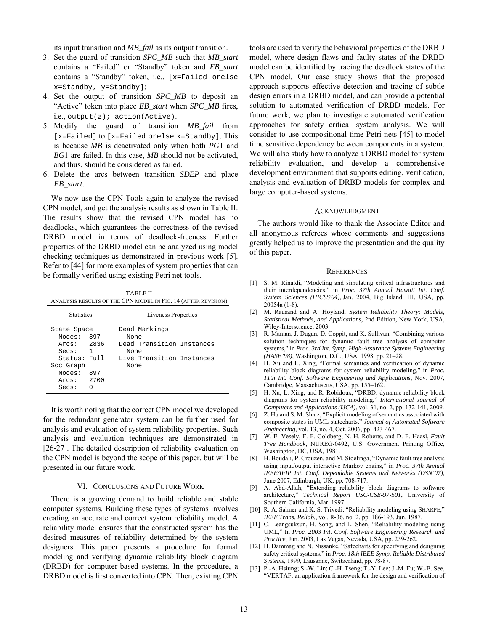its input transition and *MB\_fail* as its output transition.

- 3. Set the guard of transition *SPC\_MB* such that *MB\_start* contains a "Failed" or "Standby" token and *EB\_start* contains a "Standby" token, i.e., [x=Failed orelse x=Standby, y=Standby];
- 4. Set the output of transition *SPC\_MB* to deposit an "Active" token into place *EB\_start* when *SPC\_MB* fires, i.e., output(z); action(Active).
- 5. Modify the guard of transition *MB\_fail* from [x=Failed] to [x=Failed orelse x=Standby]. This is because *MB* is deactivated only when both *PG*1 and *BG*1 are failed. In this case, *MB* should not be activated, and thus, should be considered as failed.
- 6. Delete the arcs between transition *SDEP* and place *EB\_start*.

We now use the CPN Tools again to analyze the revised CPN model, and get the analysis results as shown in Table II. The results show that the revised CPN model has no deadlocks, which guarantees the correctness of the revised DRBD model in terms of deadlock-freeness. Further properties of the DRBD model can be analyzed using model checking techniques as demonstrated in previous work [5]. Refer to [44] for more examples of system properties that can be formally verified using existing Petri net tools.

TABLE II ANALYSIS RESULTS OF THE CPN MODEL IN FIG. 14 (AFTER REVISION)

| <b>Statistics</b>                                                        |          | Liveness Properties                                        |
|--------------------------------------------------------------------------|----------|------------------------------------------------------------|
| State Space<br>Nodes:<br>Arcs: 2836<br>$\overline{\phantom{0}}$<br>Secs: | 897      | Dead Markings<br>None<br>Dead Transition Instances<br>None |
| Status: Full<br>Scc Graph<br>Nodes:<br>Arcs: 2700<br>Secs:               | 897<br>U | Live Transition Instances<br>None                          |

It is worth noting that the correct CPN model we developed for the redundant generator system can be further used for analysis and evaluation of system reliability properties. Such analysis and evaluation techniques are demonstrated in [26-27]. The detailed description of reliability evaluation on the CPN model is beyond the scope of this paper, but will be presented in our future work.

## VI. CONCLUSIONS AND FUTURE WORK

There is a growing demand to build reliable and stable computer systems. Building these types of systems involves creating an accurate and correct system reliability model. A reliability model ensures that the constructed system has the desired measures of reliability determined by the system designers. This paper presents a procedure for formal modeling and verifying dynamic reliability block diagram (DRBD) for computer-based systems. In the procedure, a DRBD model is first converted into CPN. Then, existing CPN

tools are used to verify the behavioral properties of the DRBD model, where design flaws and faulty states of the DRBD model can be identified by tracing the deadlock states of the CPN model. Our case study shows that the proposed approach supports effective detection and tracing of subtle design errors in a DRBD model, and can provide a potential solution to automated verification of DRBD models. For future work, we plan to investigate automated verification approaches for safety critical system analysis. We will consider to use compositional time Petri nets [45] to model time sensitive dependency between components in a system. We will also study how to analyze a DRBD model for system reliability evaluation, and develop a comprehensive development environment that supports editing, verification, analysis and evaluation of DRBD models for complex and large computer-based systems.

## ACKNOWLEDGMENT

The authors would like to thank the Associate Editor and all anonymous referees whose comments and suggestions greatly helped us to improve the presentation and the quality of this paper.

#### **REFERENCES**

- [1] S. M. Rinaldi, "Modeling and simulating critical infrastructures and their interdependencies," in *Proc. 37th Annual Hawaii Int. Conf. System Sciences (HICSS'04)*, Jan. 2004, Big Island, HI, USA, pp. 20054a (1-8).
- [2] M. Rausand and A. Hoyland, *System Reliability Theory: Models, Statistical Methods, and Applications*, 2nd Edition, New York, USA, Wiley-Interscience, 2003.
- [3] R. Manian, J. Dugan, D. Coppit, and K. Sullivan, "Combining various solution techniques for dynamic fault tree analysis of computer systems," in *Proc. 3rd Int. Symp. High-Assurance Systems Engineering (HASE'98)*, Washington, D.C., USA, 1998, pp. 21–28.
- [4] H. Xu and L. Xing, "Formal semantics and verification of dynamic reliability block diagrams for system reliability modeling," in *Proc. 11th Int. Conf. Software Engineering and Applications*, Nov. 2007, Cambridge, Massachusetts, USA, pp. 155–162.
- [5] H. Xu, L. Xing, and R. Robidoux, "DRBD: dynamic reliability block diagrams for system reliability modeling," *International Journal of Computers and Applications (IJCA)*, vol. 31, no. 2, pp. 132-141, 2009.
- [6] Z. Hu and S. M. Shatz, "Explicit modeling of semantics associated with composite states in UML statecharts," *Journal of Automated Software Engineering*, vol. 13, no. 4, Oct. 2006, pp. 423-467.
- [7] W. E. Vesely, F. F. Goldberg, N. H. Roberts, and D. F. Haasl, *Fault Tree Handbook*, NUREG-0492, U.S. Government Printing Office, Washington, DC, USA, 1981.
- [8] H. Boudali, P. Crouzen, and M. Stoelinga, "Dynamic fault tree analysis using input/output interactive Markov chains," in *Proc. 37th Annual IEEE/IFIP Int. Conf. Dependable Systems and Networks (DSN'07)*, June 2007, Edinburgh, UK, pp. 708-717.
- [9] A. Abd-Allah, "Extending reliability block diagrams to software architecture," *Technical Report USC-CSE-97-501*, University of Southern California, Mar. 1997.
- [10] R. A. Sahner and K. S. Trivedi, "Reliability modeling using SHARPE," *IEEE Trans. Reliab.*, vol. R-36, no. 2, pp. 186-193, Jun. 1987.
- [11] C. Leangsuksun, H. Song, and L. Shen, "Reliability modeling using UML," In *Proc. 2003 Int. Conf. Software Engineering Research and Practice*, Jun. 2003, Las Vegas, Nevada, USA, pp. 259-262.
- [12] H. Dammag and N. Nissanke, "Safecharts for specifying and designing safety critical systems," in *Proc. 18th IEEE Symp. Reliable Distributed Systems*, 1999, Lausanne, Switzerland, pp. 78-87.
- [13] P.-A. Hsiung; S.-W. Lin; C.-H. Tseng; T.-Y. Lee; J.-M. Fu; W.-B. See, "VERTAF: an application framework for the design and verification of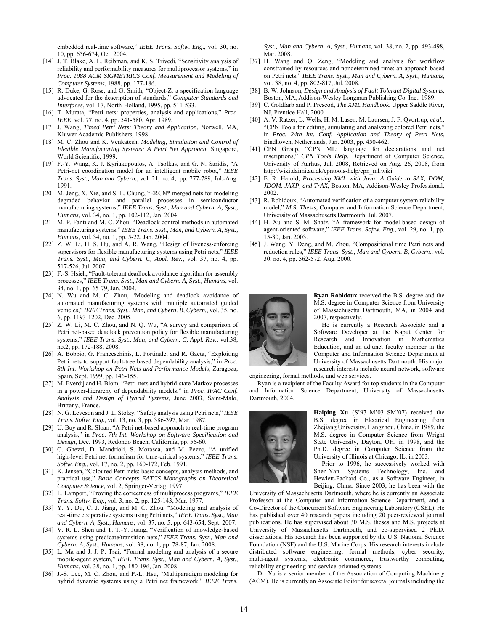embedded real-time software," *IEEE Trans. Softw. Eng.*, vol. 30, no. 10, pp. 656-674, Oct. 2004.

- [14] J. T. Blake, A. L. Reibman, and K. S. Trivedi, "Sensitivity analysis of reliability and performability measures for multiprocessor systems," in *Proc. 1988 ACM SIGMETRICS Conf. Measurement and Modeling of Computer Systems*, 1988, pp. 177-186.
- [15] R. Duke, G. Rose, and G. Smith, "Object-Z: a specification language advocated for the description of standards," *Computer Standards and Interfaces*, vol. 17, North-Holland, 1995, pp. 511-533.
- [16] T. Murata, "Petri nets: properties, analysis and applications," *Proc. IEEE*, vol. 77, no. 4, pp. 541-580, Apr. 1989.
- [17] J. Wang, *Timed Petri Nets: Theory and Application*, Norwell, MA, Kluwer Academic Publishers, 1998.
- [18] M. C. Zhou and K. Venkatesh, *Modeling, Simulation and Control of Flexible Manufacturing Systems: A Petri Net Approach*, Singapore, World Scientific, 1999.
- [19] F.-Y. Wang, K. J. Kyriakopoulos, A. Tsolkas, and G. N. Saridis, "A Petri-net coordination model for an intelligent mobile robot," *IEEE Trans. Syst., Man and Cybern.*, vol. 21, no. 4, pp. 777-789, Jul.-Aug. 1991.
- [20] M. Jeng, X. Xie, and S.-L. Chung, "ERCN\* merged nets for modeling degraded behavior and parallel processes in semiconductor manufacturing systems," *IEEE Trans. Syst., Man and Cybern. A, Syst., Humans*, vol. 34, no. 1, pp. 102-112, Jan. 2004.
- [21] M. P. Fanti and M. C. Zhou, "Deadlock control methods in automated manufacturing systems," *IEEE Trans. Syst., Man, and Cybern. A, Syst., Humans*, vol. 34, no. 1, pp. 5-22. Jan. 2004.
- [22] Z. W. Li, H. S. Hu, and A. R. Wang, "Design of liveness-enforcing supervisors for flexible manufacturing systems using Petri nets," *IEEE Trans. Syst., Man, and Cybern. C, Appl. Rev.*, vol. 37, no. 4, pp. 517-526, Jul. 2007.
- [23] F.-S. Hsieh, "Fault-tolerant deadlock avoidance algorithm for assembly processes," *IEEE Trans. Syst., Man and Cybern. A, Syst., Humans*, vol. 34, no. 1, pp. 65-79, Jan. 2004.
- [24] N. Wu and M. C. Zhou, "Modeling and deadlock avoidance of automated manufacturing systems with multiple automated guided vehicles," *IEEE Trans. Syst., Man, and Cybern. B, Cybern.*, vol. 35, no. 6, pp. 1193-1202, Dec. 2005.
- [25] Z. W. Li, M. C. Zhou, and N. Q. Wu, "A survey and comparison of Petri net-based deadlock prevention policy for flexible manufacturing systems," *IEEE Trans. Syst., Man, and Cybern. C, Appl. Rev.*, vol.38, no.2, pp. 172-188, 2008.
- [26] A. Bobbio, G. Franceschinis, L. Portinale, and R. Gaeta, "Exploiting Petri nets to support fault-tree based dependability analysis," in *Proc. 8th Int. Workshop on Petri Nets and Performance Models*, Zaragoza, Spain, Sept. 1999, pp. 146-155.
- [27] M. Everdij and H. Blom, "Petri-nets and hybrid-state Markov processes in a power-hierarchy of dependability models," in *Proc. IFAC Conf. Analysis and Design of Hybrid Systems*, June 2003, Saint-Malo, Brittany, France.
- [28] N. G. Leveson and J. L. Stolzy, "Safety analysis using Petri nets," *IEEE Trans. Softw. Eng.*, vol. 13, no. 3, pp. 386-397, Mar. 1987.
- [29] U. Buy and R. Sloan. "A Petri net-based approach to real-time program analysis," in *Proc. 7th Int. Workshop on Software Specification and Design*, Dec. 1993, Redondo Beach, California, pp. 56-60.
- [30] C. Ghezzi, D. Mandrioli, S. Morasca, and M. Pezzc, "A unified high-level Petri net formalism for time-critical systems," *IEEE Trans. Softw. Eng.*, vol. 17, no. 2, pp. 160-172, Feb. 1991.
- [31] K. Jensen, "Coloured Petri nets: basic concepts, analysis methods, and practical use," *Basic Concepts EATCS Monographs on Theoretical Computer Science*, vol. 2, Springer-Verlag, 1997.
- [32] L. Lamport, "Proving the correctness of multiprocess programs," *IEEE Trans. Softw. Eng.*, vol. 3, no. 2, pp. 125-143, Mar. 1977.
- [33] Y. Y. Du, C. J. Jiang, and M. C. Zhou, "Modeling and analysis of real-time cooperative systems using Petri nets," *IEEE Trans. Syst., Man and Cybern. A, Syst., Humans*, vol. 37, no. 5, pp. 643-654, Sept. 2007.
- [34] V. R. L. Shen and T. T.-Y. Juang, "Verification of knowledge-based systems using predicate/transition nets," *IEEE Trans. Syst., Man and Cybern. A, Syst., Humans*, vol. 38, no. 1, pp. 78-87, Jan. 2008.
- [35] L. Ma and J. J. P. Tsai, "Formal modeling and analysis of a secure mobile-agent system," *IEEE Trans. Syst., Man and Cybern. A, Syst., Humans*, vol. 38, no. 1, pp. 180-196, Jan. 2008.
- [36] J.-S. Lee, M. C. Zhou, and P.-L. Hsu, "Multiparadigm modeling for hybrid dynamic systems using a Petri net framework," *IEEE Trans.*

*Syst., Man and Cybern. A, Syst., Humans*, vol. 38, no. 2, pp. 493-498, Mar. 2008.

- [37] H. Wang and Q. Zeng, "Modeling and analysis for workflow constrained by resources and nondetermined time: an approach based on Petri nets," *IEEE Trans. Syst., Man and Cybern. A, Syst., Humans*, vol. 38, no. 4, pp. 802-817, Jul. 2008.
- [38] B. W. Johnson, *Design and Analysis of Fault Tolerant Digital Systems*, Boston, MA, Addison-Wesley Longman Publishing Co. Inc., 1989.
- [39] C. Goldfarb and P. Prescod, *The XML Handbook*, Upper Saddle River, NJ, Prentice Hall, 2000.
- [40] A. V. Ratzer, L. Wells, H. M. Lasen, M. Laursen, J. F. Qvortrup, *et al.*, "CPN Tools for editing, simulating and analyzing colored Petri nets," in *Proc. 24th Int. Conf. Application and Theory of Petri Nets*, Eindhoven, Netherlands, Jun. 2003, pp. 450-462.
- [41] CPN Group, "CPN ML: language for declarations and net inscriptions," *CPN Tools Help*, Department of Computer Science, University of Aarhus, Jul. 2008, Retrieved on Aug. 26, 2008, from http://wiki.daimi.au.dk/cpntools-help/cpn\_ml.wiki
- [42] E. R. Harold, *Processing XML with Java: A Guide to SAX, DOM, JDOM, JAXP, and TrAX*, Boston, MA, Addison-Wesley Professional, 2002.
- [43] R. Robidoux, "Automated verification of a computer system reliability model," *M.S. Thesis*, Computer and Information Science Department, University of Massachusetts Dartmouth, Jul. 2007.
- [44] H. Xu and S. M. Shatz, "A framework for model-based design of agent-oriented software," *IEEE Trans. Softw. Eng.*, vol. 29, no. 1, pp. 15-30, Jan. 2003.
- [45] J. Wang, Y. Deng, and M. Zhou, "Compositional time Petri nets and reduction rules," *IEEE Trans. Syst., Man and Cybern. B, Cybern.*, vol. 30, no. 4, pp. 562-572, Aug. 2000.



Ryan Robidoux received the B.S. degree and the M.S. degree in Computer Science from University of Massachusetts Dartmouth, MA, in 2004 and 2007, respectively.

He is currently a R e search Associate and a Software Developer at the Kaput Center for Research and Innovation in Mathematics Education, and an adjunct faculty member in the Computer and Information Science Department at University of Massachusetts Dartmouth. His major research interests include neural network, software

engineering, formal methods, and web services.

Ryan is a recipient of the Faculty Award for top students in the Computer and Information Science Department, University of Massachusetts Dartmouth, 2004.



Haiping Xu (S'97-M'03-SM'07) received the B.S. degree in Electrical Engineering from Zhejiang University, Hangzhou, China, in 1989, the M.S. degree in Computer Science from Wright State University, Dayton, OH, in 1998, and the Ph.D. degree in Computer Science from the University of Illinois at Chicago, IL, in 2003.

Prior to 1996, he successively worked with Shen-Yan Systems Technology, Inc. and Hewlett-Packard Co., as a Software Engineer, in Beijing, China. Since 2003, he has been with the

University of Massachusetts Dartmouth, where he is currently an Associate Professor at the Computer and Information Science Department, and a Co-Director of the Concurrent Software Engineering Laboratory (CSEL). He has published over 40 research papers including 20 peer-reviewed journal publications. He has supervised about 30 M.S. theses and M.S. projects at University of Massachusetts Dartmouth, and co-supervised 2 Ph.D. dissertations. His research has been supported by the U.S. National Science Foundation (NSF) and the U.S. Marine Corps. His research interests include distributed software engineering, formal methods, cyber security, multi-agent systems, electronic commerce, trustworthy computing, reliability engineering and service-oriented systems.

Dr. Xu is a senior member of the Association of Computing Machinery (ACM). He is currently an Associate Editor for several journals including the